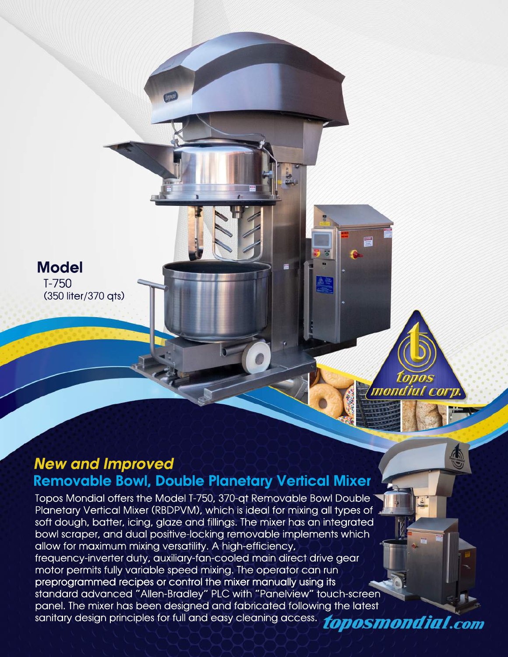T-750 (350 liter/370 qts) **Model** 

## **New and Improved Removable Bowl, Double Planetary Vertical Mixer**

mondial cor

Topos Mondial offers the Model T-750, 370-at Removable Bowl Double Planetary Vertical Mixer (RBDPVM), which is ideal for mixing all types of soft dough, batter, icing, glaze and fillings. The mixer has an integrated bowl scraper, and dual positive-locking removable implements which allow for maximum mixing versatility. A high-efficiency, frequency-inverter duty, auxiliary-fan-cooled main direct drive gear motor permits fully variable speed mixing. The operator can run preprogrammed recipes or control the mixer manually using its standard advanced "Allen-Bradley" PLC with "Panelview" touch-screen panel. The mixer has been designed and fabricated following the latest parier. The Frika Has been for full and easy cleaning access. **10DOSMONdial.com**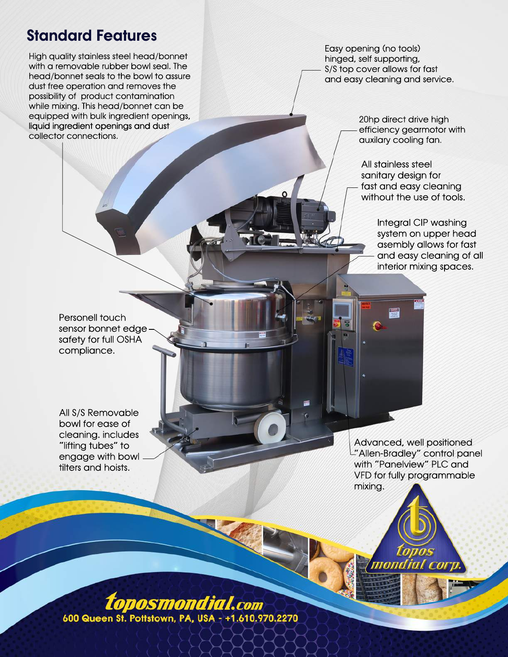## **Standard Features**

High quality stainless steel head/bonnet with a removable rubber bowl seal. The head/bonnet seals to the bowl to assure dust free operation and removes the possibility of product contamination while mixing. This head/bonnet can be equipped with bulk ingredient openings, liquid ingredient openings and dust collector connections.

Easy opening (no tools) hinged, self supporting, S/S top cover allows for fast and easy cleaning and service.

> 20hp direct drive high efficiency gearmotor with auxilary cooling fan.

All stainless steel sanitary design for fast and easy cleaning without the use of tools.

> Integral CIP washing system on upper head asembly allows for fast and easy cleaning of all interior mixing spaces.

Personell touch sensor bonnet edgesafety for full OSHA compliance.

All S/S Removable bowl for ease of cleaning. includes "lifting tubes" to engage with bowl tilters and hoists.

Advanced, well positioned "Allen-Bradley" control panel with "Panelview" PLC and VFD for fully programmable mixing.

mondial

*toposmondial.com* 600 Queen St. Pottstown, PA, USA - +1.610.970.2270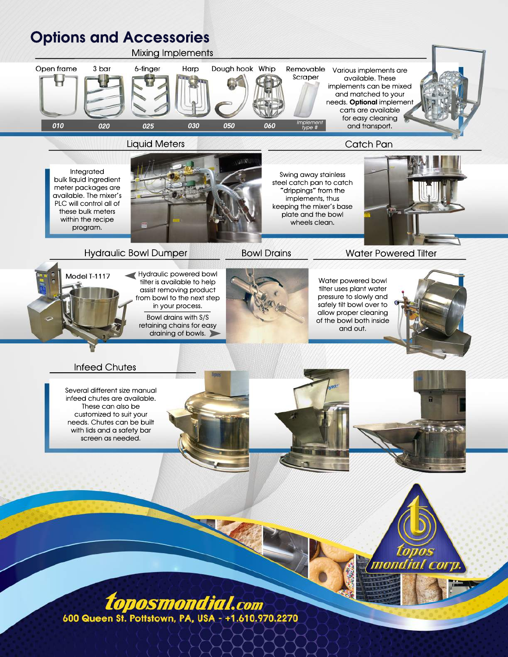